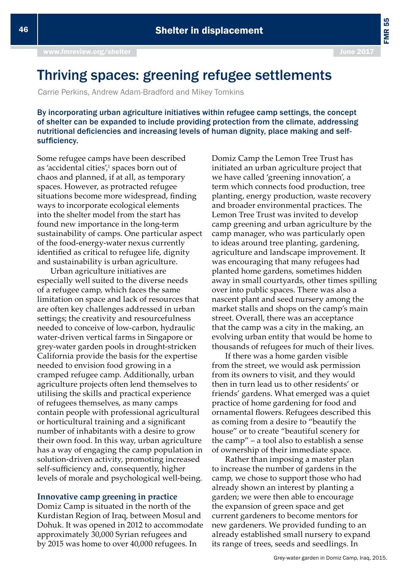FMR 55

# Thriving spaces: greening refugee settlements

Carrie Perkins, Andrew Adam-Bradford and Mikey Tomkins

By incorporating urban agriculture initiatives within refugee camp settings, the concept of shelter can be expanded to include providing protection from the climate, addressing nutritional deficiencies and increasing levels of human dignity, place making and selfsufficiency.

Some refugee camps have been described as 'accidental cities',<sup>1</sup> spaces born out of chaos and planned, if at all, as temporary spaces. However, as protracted refugee situations become more widespread, finding ways to incorporate ecological elements into the shelter model from the start has found new importance in the long-term sustainability of camps. One particular aspect of the food-energy-water nexus currently identifed as critical to refugee life, dignity and sustainability is urban agriculture.

Urban agriculture initiatives are especially well suited to the diverse needs of a refugee camp, which faces the same limitation on space and lack of resources that are often key challenges addressed in urban setings; the creativity and resourcefulness needed to conceive of low-carbon, hydraulic water-driven vertical farms in Singapore or grey-water garden pools in drought-stricken California provide the basis for the expertise needed to envision food growing in a cramped refugee camp. Additionally, urban agriculture projects often lend themselves to utilising the skills and practical experience of refugees themselves, as many camps contain people with professional agricultural or horticultural training and a signifcant number of inhabitants with a desire to grow their own food. In this way, urban agriculture has a way of engaging the camp population in solution-driven activity, promoting increased self-sufficiency and, consequently, higher levels of morale and psychological well-being.

## **Innovative camp greening in practice**

Domiz Camp is situated in the north of the Kurdistan Region of Iraq, between Mosul and Dohuk. It was opened in 2012 to accommodate approximately 30,000 Syrian refugees and by 2015 was home to over 40,000 refugees. In

Domiz Camp the Lemon Tree Trust has initiated an urban agriculture project that we have called 'greening innovation', a term which connects food production, tree planting, energy production, waste recovery and broader environmental practices. The Lemon Tree Trust was invited to develop camp greening and urban agriculture by the camp manager, who was particularly open to ideas around tree planting, gardening, agriculture and landscape improvement. It was encouraging that many refugees had planted home gardens, sometimes hidden away in small courtyards, other times spilling over into public spaces. There was also a nascent plant and seed nursery among the market stalls and shops on the camp's main street. Overall, there was an acceptance that the camp was a city in the making, an evolving urban entity that would be home to thousands of refugees for much of their lives.

If there was a home garden visible from the street, we would ask permission from its owners to visit, and they would then in turn lead us to other residents' or friends' gardens. What emerged was a quiet practice of home gardening for food and ornamental flowers. Refugees described this as coming from a desire to "beautify the house" or to create "beautiful scenery for the camp" – a tool also to establish a sense of ownership of their immediate space.

Rather than imposing a master plan to increase the number of gardens in the camp, we chose to support those who had already shown an interest by planting a garden; we were then able to encourage the expansion of green space and get current gardeners to become mentors for new gardeners. We provided funding to an already established small nursery to expand its range of trees, seeds and seedlings. In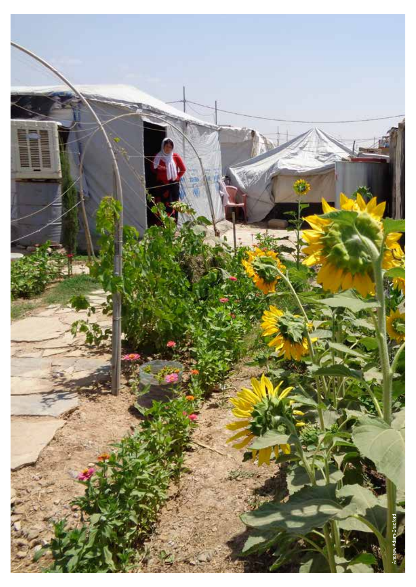